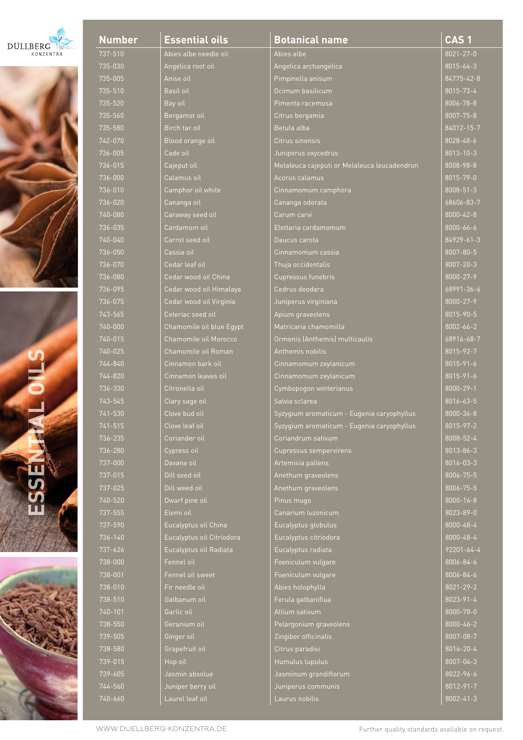| DÜLLBERG         |  |
|------------------|--|
| <b>KONZENTRA</b> |  |



**ESSENTIAL OILS** h.



| <u>Numbe</u><br>737-510<br>735-030<br>$735 - 005$<br>735-510<br>735-520<br>735-560<br>735-580<br>$742 - 070$<br>$736 - 005$<br>736-01<br>5<br>736-000<br>$736 - 010$<br>736-020<br>$740 - 080$<br>736-035<br>740-040<br>736-050<br>$736 - 070$<br>$736 - 080$<br>736-095<br>$736 - 075$<br>$743 - 565$<br>740-000<br>740-015<br>$740 - 025$<br>744-840<br>$744 - 820$<br>736-330<br>743-545<br>741-530<br>741-515<br>736-235<br>736-280<br>737-000<br>737-015<br>737-025<br>740-520<br>737-555<br>737-590<br>736-140<br>737-626<br>738-000<br>738-001<br>738-010<br>738-510<br>740-101<br>$\overline{738} - 550$<br>739-505<br>738-580<br>739-015<br>739-605<br>744-560<br>$740 - 660$ |  |  |  |
|----------------------------------------------------------------------------------------------------------------------------------------------------------------------------------------------------------------------------------------------------------------------------------------------------------------------------------------------------------------------------------------------------------------------------------------------------------------------------------------------------------------------------------------------------------------------------------------------------------------------------------------------------------------------------------------|--|--|--|
|                                                                                                                                                                                                                                                                                                                                                                                                                                                                                                                                                                                                                                                                                        |  |  |  |
|                                                                                                                                                                                                                                                                                                                                                                                                                                                                                                                                                                                                                                                                                        |  |  |  |
|                                                                                                                                                                                                                                                                                                                                                                                                                                                                                                                                                                                                                                                                                        |  |  |  |
|                                                                                                                                                                                                                                                                                                                                                                                                                                                                                                                                                                                                                                                                                        |  |  |  |
|                                                                                                                                                                                                                                                                                                                                                                                                                                                                                                                                                                                                                                                                                        |  |  |  |
|                                                                                                                                                                                                                                                                                                                                                                                                                                                                                                                                                                                                                                                                                        |  |  |  |
|                                                                                                                                                                                                                                                                                                                                                                                                                                                                                                                                                                                                                                                                                        |  |  |  |
|                                                                                                                                                                                                                                                                                                                                                                                                                                                                                                                                                                                                                                                                                        |  |  |  |
|                                                                                                                                                                                                                                                                                                                                                                                                                                                                                                                                                                                                                                                                                        |  |  |  |
|                                                                                                                                                                                                                                                                                                                                                                                                                                                                                                                                                                                                                                                                                        |  |  |  |
|                                                                                                                                                                                                                                                                                                                                                                                                                                                                                                                                                                                                                                                                                        |  |  |  |
|                                                                                                                                                                                                                                                                                                                                                                                                                                                                                                                                                                                                                                                                                        |  |  |  |
|                                                                                                                                                                                                                                                                                                                                                                                                                                                                                                                                                                                                                                                                                        |  |  |  |
|                                                                                                                                                                                                                                                                                                                                                                                                                                                                                                                                                                                                                                                                                        |  |  |  |
|                                                                                                                                                                                                                                                                                                                                                                                                                                                                                                                                                                                                                                                                                        |  |  |  |
|                                                                                                                                                                                                                                                                                                                                                                                                                                                                                                                                                                                                                                                                                        |  |  |  |
|                                                                                                                                                                                                                                                                                                                                                                                                                                                                                                                                                                                                                                                                                        |  |  |  |
|                                                                                                                                                                                                                                                                                                                                                                                                                                                                                                                                                                                                                                                                                        |  |  |  |
|                                                                                                                                                                                                                                                                                                                                                                                                                                                                                                                                                                                                                                                                                        |  |  |  |
|                                                                                                                                                                                                                                                                                                                                                                                                                                                                                                                                                                                                                                                                                        |  |  |  |
|                                                                                                                                                                                                                                                                                                                                                                                                                                                                                                                                                                                                                                                                                        |  |  |  |
|                                                                                                                                                                                                                                                                                                                                                                                                                                                                                                                                                                                                                                                                                        |  |  |  |
|                                                                                                                                                                                                                                                                                                                                                                                                                                                                                                                                                                                                                                                                                        |  |  |  |
|                                                                                                                                                                                                                                                                                                                                                                                                                                                                                                                                                                                                                                                                                        |  |  |  |
|                                                                                                                                                                                                                                                                                                                                                                                                                                                                                                                                                                                                                                                                                        |  |  |  |
|                                                                                                                                                                                                                                                                                                                                                                                                                                                                                                                                                                                                                                                                                        |  |  |  |
|                                                                                                                                                                                                                                                                                                                                                                                                                                                                                                                                                                                                                                                                                        |  |  |  |
|                                                                                                                                                                                                                                                                                                                                                                                                                                                                                                                                                                                                                                                                                        |  |  |  |
|                                                                                                                                                                                                                                                                                                                                                                                                                                                                                                                                                                                                                                                                                        |  |  |  |
|                                                                                                                                                                                                                                                                                                                                                                                                                                                                                                                                                                                                                                                                                        |  |  |  |
|                                                                                                                                                                                                                                                                                                                                                                                                                                                                                                                                                                                                                                                                                        |  |  |  |
|                                                                                                                                                                                                                                                                                                                                                                                                                                                                                                                                                                                                                                                                                        |  |  |  |
|                                                                                                                                                                                                                                                                                                                                                                                                                                                                                                                                                                                                                                                                                        |  |  |  |
|                                                                                                                                                                                                                                                                                                                                                                                                                                                                                                                                                                                                                                                                                        |  |  |  |
|                                                                                                                                                                                                                                                                                                                                                                                                                                                                                                                                                                                                                                                                                        |  |  |  |
|                                                                                                                                                                                                                                                                                                                                                                                                                                                                                                                                                                                                                                                                                        |  |  |  |
|                                                                                                                                                                                                                                                                                                                                                                                                                                                                                                                                                                                                                                                                                        |  |  |  |
|                                                                                                                                                                                                                                                                                                                                                                                                                                                                                                                                                                                                                                                                                        |  |  |  |
|                                                                                                                                                                                                                                                                                                                                                                                                                                                                                                                                                                                                                                                                                        |  |  |  |
|                                                                                                                                                                                                                                                                                                                                                                                                                                                                                                                                                                                                                                                                                        |  |  |  |
|                                                                                                                                                                                                                                                                                                                                                                                                                                                                                                                                                                                                                                                                                        |  |  |  |
|                                                                                                                                                                                                                                                                                                                                                                                                                                                                                                                                                                                                                                                                                        |  |  |  |
|                                                                                                                                                                                                                                                                                                                                                                                                                                                                                                                                                                                                                                                                                        |  |  |  |
|                                                                                                                                                                                                                                                                                                                                                                                                                                                                                                                                                                                                                                                                                        |  |  |  |
|                                                                                                                                                                                                                                                                                                                                                                                                                                                                                                                                                                                                                                                                                        |  |  |  |
|                                                                                                                                                                                                                                                                                                                                                                                                                                                                                                                                                                                                                                                                                        |  |  |  |
|                                                                                                                                                                                                                                                                                                                                                                                                                                                                                                                                                                                                                                                                                        |  |  |  |
|                                                                                                                                                                                                                                                                                                                                                                                                                                                                                                                                                                                                                                                                                        |  |  |  |
|                                                                                                                                                                                                                                                                                                                                                                                                                                                                                                                                                                                                                                                                                        |  |  |  |
|                                                                                                                                                                                                                                                                                                                                                                                                                                                                                                                                                                                                                                                                                        |  |  |  |
|                                                                                                                                                                                                                                                                                                                                                                                                                                                                                                                                                                                                                                                                                        |  |  |  |
|                                                                                                                                                                                                                                                                                                                                                                                                                                                                                                                                                                                                                                                                                        |  |  |  |

| <u>Essential oils</u>     |
|---------------------------|
| Abies albe needle oil     |
| Angelica root oil         |
| Anise oil                 |
| <b>Basil oil</b>          |
| Bay oil                   |
| Bergamot oil              |
| Birch tar oil             |
| Blood orange oil          |
| Cade oil                  |
| Cajeput oil               |
| Calamus oil               |
| Camphor oil white         |
| Cananga oil               |
| Caraway seed oil          |
| Cardamom oil              |
| Carrot seed oil           |
| Cassia oil                |
| Cedar leaf oil            |
| Cedar wood oil China      |
| Cedar wood oil Himalaya   |
| Cedar wood oil Virginia   |
| Celeriac seed oil         |
| Chamomile oil blue Egyp   |
| Chamomile oil Morocco     |
| Chamomile oil Roman       |
| Cinnamon bark oil         |
| Cinnamon leaves oil       |
| Citronella oil            |
| Clary sage oil            |
| Clove bud oil             |
| Clove leaf oil            |
| Coriander_oil             |
| Cypress oil<br>Davana oil |
| Dill seed oil             |
| Dill weed oil             |
| Dwarf pine oil            |
| Elemi oil                 |
| Eucalyptus oil China      |
| Eucalyptus oil Citriodora |
| Eucalyptus oil Radiata    |
| Fennel oil                |
| Fennel oil sweet          |
| Fir needle oil            |
| Galbanum oil              |
| Garlic oil                |
| Geranium oil              |
| Ginger oil                |
| Grapefruit oil            |
| Hop oil                   |
| Jasmin absolue            |
| Juniper berry oil         |
|                           |

| <b>Number</b> | <b>Essential oils</b>     | <b>Botanical name</b>                        | CAS <sub>1</sub> |
|---------------|---------------------------|----------------------------------------------|------------------|
| 737-510       | Abies albe needle oil     | Abies albe                                   | $8021 - 27 - 0$  |
| 735-030       | Angelica root oil         | Angelica archangelica                        | $8015 - 64 - 3$  |
| 735-005       | Anise oil                 | Pimpinella anisum                            | 84775-42-8       |
| 735-510       | Basil oil                 | Ocimum basilicum                             | $8015 - 73 - 4$  |
| 735-520       | Bay oil                   | Pimenta racemosa                             | 8006-78-8        |
| 735-560       | Bergamot oil              | Citrus bergamia                              | $8007 - 75 - 8$  |
| 735-580       | Birch tar oil             | Betula alba                                  | 84012-15-7       |
| 742-070       | Blood orange oil          | Citrus sinensis                              | $8028 - 48 - 6$  |
| 736-005       | Cade oil                  | Juniperus oxycedrus                          | $8013 - 10 - 3$  |
| 736-015       | Cajeput oil               | Melaleuca cajeputi or Melaleuca leucadendron | 8008-98-8        |
| 736-000       | Calamus oil               | Acorus calamus                               | $8015 - 79 - 0$  |
| 736-010       | Camphor oil white         | Cinnamomum camphora                          | $8008 - 51 - 3$  |
| 736-020       | Cananga oil               | Cananga odorata                              | 68606-83-7       |
| 740-080       | Caraway seed oil          | Carum carvi                                  | $8000 - 42 - 8$  |
| 736-035       | Cardamom oil              | Elettaria cardamomum                         | 8000-66-6        |
| 740-040       | Carrot seed oil           | Daucus carota                                | 84929-61-3       |
| 736-050       | Cassia oil                | Cinnamomum cassia                            | 8007-80-5        |
| 736-070       | Cedar leaf oil            | Thuja occidentalis                           | $8007 - 20 - 3$  |
| 736-080       | Cedar wood oil China      | Cupressus funebris                           | 8000-27-9        |
| 736-095       | Cedar wood oil Himalaya   | Cedrus deodara                               | 68991-36-6       |
| 736-075       | Cedar wood oil Virginia   | Juniperus virginiana                         | $8000 - 27 - 9$  |
| 743-565       | Celeriac seed oil         | Apium graveolens                             | 8015-90-5        |
| 740-000       | Chamomile oil blue Egypt  | Matricaria chamomilla                        | $8002 - 66 - 2$  |
| 740-015       | Chamomile oil Morocco     | Ormenis (Anthemis) multicaulis               | 68916-68-7       |
| 740-025       | Chamomile oil Roman       | Anthemis nobilis                             | 8015-92-7        |
| 744-840       | Cinnamon bark oil         | Cinnamomum zeylanicum                        | $8015 - 91 - 6$  |
| 744-820       | Cinnamon leaves oil       | Cinnamomum zeylanicum                        | $8015 - 91 - 6$  |
| 736-330       | Citronella oil            | Cymbopogon winterianus                       | $8000 - 29 - 1$  |
| 743-545       | Clary sage oil            | Salvia sclarea                               | 8016-63-5        |
| 741-530       | Clove bud oil             | Syzygium aromaticum - Eugenia caryophyllus   | $8000 - 34 - 8$  |
| 741-515       | Clove leaf oil            | Syzygium aromaticum - Eugenia caryophyllus   | 8015-97-2        |
| 736-235       | Coriander oil             | Coriandrum sativum                           | 8008-52-4        |
| 736-280       | Cypress oil               | Cupressus sempervirens                       | 8013-86-3        |
| 737-000       | Davana oil                | Artemisia pallens                            | 8016-03-3        |
| 737-015       | Dill seed oil             | Anethum graveolens                           | 8006-75-5        |
| 737-025       | Dill weed oil             | Anethum graveolens                           | 8006-75-5        |
| 740-520       | Dwarf pine oil            | Pinus mugo                                   | $8000 - 16 - 8$  |
| 737-555       | Elemi oil                 | Canarium luzonicum                           | $8023 - 89 - 0$  |
| 737-590       | Eucalyptus oil China      | Eucalyptus globulus                          | 8000-48-4        |
| 736-140       | Eucalyptus oil Citriodora | Eucalyptus citriodora                        | $8000 - 48 - 4$  |
| 737-626       | Eucalyptus oil Radiata    | Eucalyptus radiata                           | $92201 - 64 - 4$ |
| 738-000       | Fennel oil                | Foeniculum vulgare                           | 8006-84-6        |
| 738-001       | Fennel oil sweet          | Foeniculum vulgare                           | 8006-84-6        |
| 738-010       | Fir needle oil            | Abies holophylla                             | $8021 - 29 - 2$  |
| 738-510       | Galbanum oil              | Ferula galbaniflua                           | 8023-91-4        |
| 740-101       | Garlic oil                | Allium sativum                               | 8000-78-0        |
| 738-550       | Geranium oil              | Pelargonium graveolens                       | 8000-46-2        |
| 739-505       | Ginger oil                | Zingiber officinalis                         | 8007-08-7        |
| 738-580       | Grapefruit oil            | Citrus paradisi                              | 8016-20-4        |
| $739 - 015$   | Hop oil                   | Humulus lupulus                              | 8007-04-3        |
| 739-605       | Jasmin absolue            | Jasminum grandiflorum                        | 8022-96-6        |
| 744-560       | Juniper berry oil         | Juniperus communis                           | $8012 - 91 - 7$  |
|               |                           |                                              |                  |